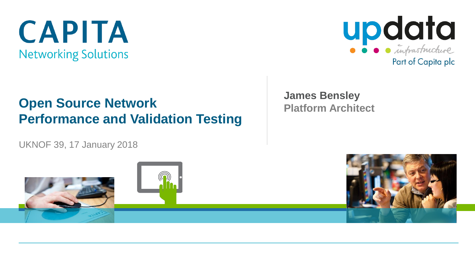# **CAPITA Networking Solutions**



#### **Open Source Network Performance and Validation Testing**

UKNOF 39, 17 January 2018

**James Bensley Platform Architect** 

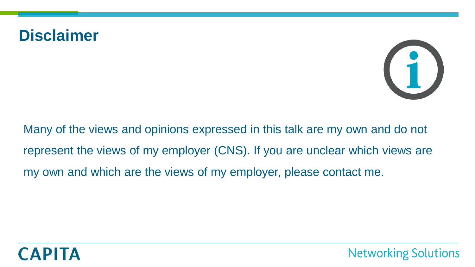#### **Disclaimer**



Many of the views and opinions expressed in this talk are my own and do not represent the views of my employer (CNS). If you are unclear which views are my own and which are the views of my employer, please contact me.

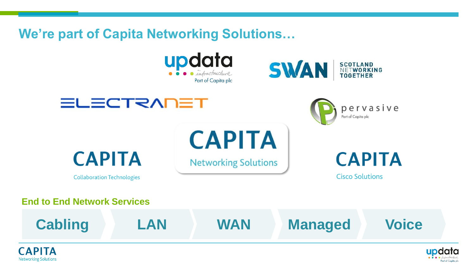#### **We're part of Capita Networking Solutions…**







**CAPITA** 

**Collaboration Technologies** 

## **CAPITA Networking Solutions**

**Cisco Solutions** 

Part of Capita plc

pervasive

**End to End Network Services**





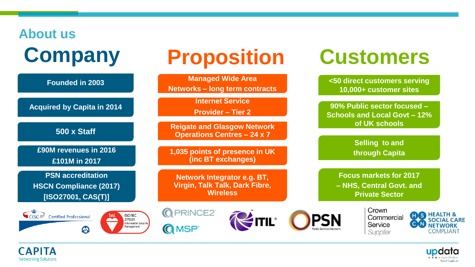# **About us Company**

**CAPI Networking Solutions** 

# **Proposition**

**Managed Wide Area <50 direct customers serving Founded in 2003 Networks – long term contracts 10,000+ customer sites Internet Service Acquired by Capita in 2014 90% Public sector focused – Provider – Tier 2 Schools and Local Govt – 12% of UK schools Reigate and Glasgow Network 500 x Staff Operations Centres – 24 x 7 Selling to and £90M revenues in 2016 1,035 points of presence in UK (inc BT exchanges) through Capita £101M in 2017 PSN accreditation Focus markets for 2017 – NHS, Central Govt. and Network Integrator e.g. BT, Virgin, Talk Talk, Dark Fibre, HSCN Compliance (2017) [ISO27001, CAS(T)] Wireless Private Sector**Crown **Q** PRINCE2<sup>®</sup> CESG Certified Professional ISO/IEC Commercial **EITIL®** 27001 **SOCIAL CARE** Information Security Service **NETWORK O**MSP<sup>®</sup> Management  $\boldsymbol{\omega}$ Supplier COMPLIANT



**Customers**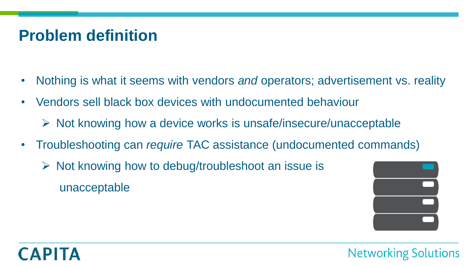- Nothing is what it seems with vendors *and* operators; advertisement vs. reality
- Vendors sell black box devices with undocumented behaviour
	- $\triangleright$  Not knowing how a device works is unsafe/insecure/unacceptable
- Troubleshooting can *require* TAC assistance (undocumented commands)
	- $\triangleright$  Not knowing how to debug/troubleshoot an issue is unacceptable



# **CAPITA**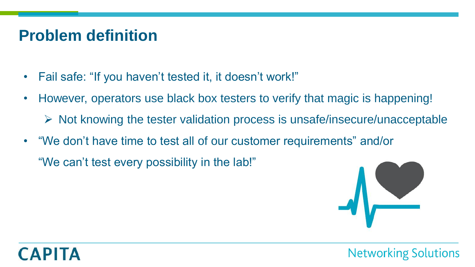- Fail safe: "If you haven't tested it, it doesn't work!"
- However, operators use black box testers to verify that magic is happening!
	- $\triangleright$  Not knowing the tester validation process is unsafe/insecure/unacceptable
- "We don't have time to test all of our customer requirements" and/or

"We can't test every possibility in the lab!"

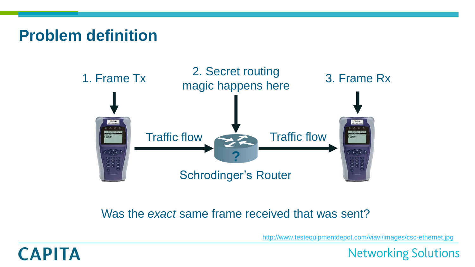

#### Was the *exact* same frame received that was sent?

<http://www.testequipmentdepot.com/viavi/images/csc-ethernet.jpg>

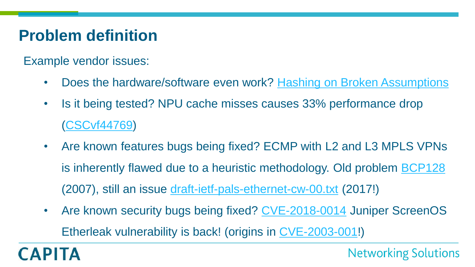Example vendor issues:

- Does the hardware/software even work? [Hashing on Broken Assumptions](https://www.nanog.org/sites/default/files/1_Saino_Hashing_On_Broken_Assumptions.pdf)
- Is it being tested? NPU cache misses causes 33% performance drop [\(CSCvf44769](https://bst.cloudapps.cisco.com/bugsearch/bug/CSCvf44769))
- Are known features bugs being fixed? ECMP with L2 and L3 MPLS VPNs is inherently flawed due to a heuristic methodology. Old problem **[BCP128](https://tools.ietf.org/html/bcp128)** (2007), still an issue [draft-ietf-pals-ethernet-cw-00.txt](https://www.ietf.org/id/draft-ietf-pals-ethernet-cw-00.txt) (2017!)
- Are known security bugs being fixed? [CVE-2018-0014](https://kb.juniper.net/InfoCenter/index?page=content&id=JSA10841&actp=METADATA) Juniper ScreenOS Etherleak vulnerability is back! (origins in [CVE-2003-001](https://nvd.nist.gov/vuln/detail/CVE-2003-0001)!)

**CAPITA**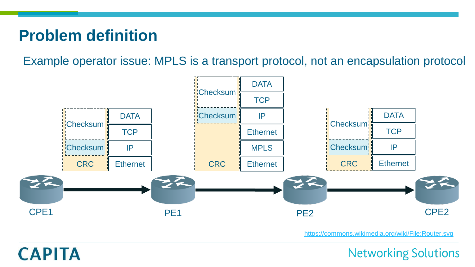**CAPITA** 

Example operator issue: MPLS is a transport protocol, not an encapsulation protocol



<https://commons.wikimedia.org/wiki/File:Router.svg>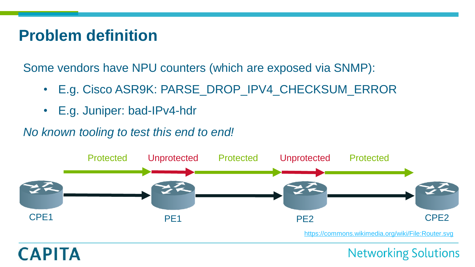**CAPITA** 

Some vendors have NPU counters (which are exposed via SNMP):

- E.g. Cisco ASR9K: PARSE\_DROP\_IPV4\_CHECKSUM\_ERROR
- E.g. Juniper: bad-IPv4-hdr

#### *No known tooling to test this end to end!*

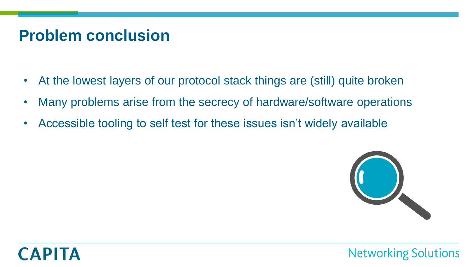#### **Problem conclusion**

- At the lowest layers of our protocol stack things are (still) quite broken
- Many problems arise from the secrecy of hardware/software operations
- Accessible tooling to self test for these issues isn't widely available



**Networking Solutions**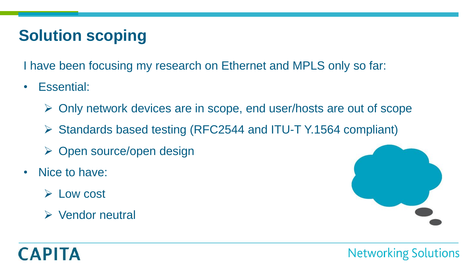## **Solution scoping**

I have been focusing my research on Ethernet and MPLS only so far:

- Essential:
	- Only network devices are in scope, end user/hosts are out of scope
	- Standards based testing (RFC2544 and ITU-T Y.1564 compliant)
	- Open source/open design
- Nice to have:
	- $\triangleright$  Low cost
	- Vendor neutral



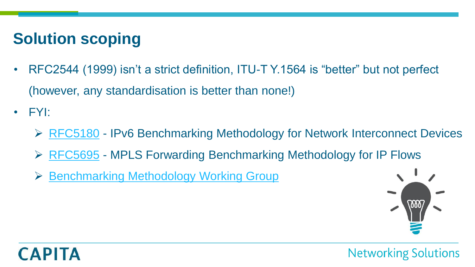## **Solution scoping**

- RFC2544 (1999) isn't a strict definition, ITU-T Y.1564 is "better" but not perfect (however, any standardisation is better than none!)
- FYI:
	- [RFC5180](https://tools.ietf.org/html/rfc5180) IPv6 Benchmarking Methodology for Network Interconnect Devices
	- [RFC5695](https://tools.ietf.org/html/rfc5695) MPLS Forwarding Benchmarking Methodology for IP Flows
	- ▶ [Benchmarking Methodology Working Group](https://datatracker.ietf.org/wg/bmwg/about/)



**Networking Solutions**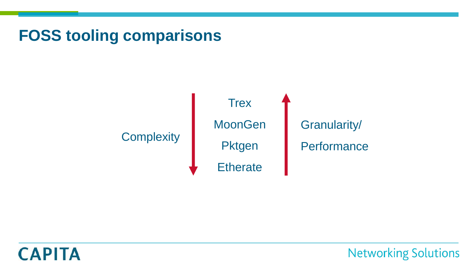

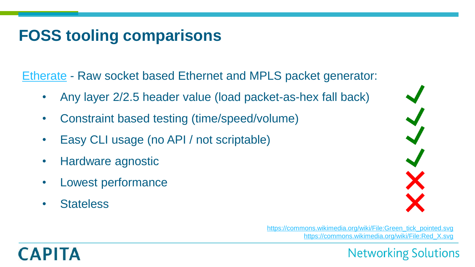[Etherate](https://github.com/jwbensley/Etherate) - Raw socket based Ethernet and MPLS packet generator:

- Any layer 2/2.5 header value (load packet-as-hex fall back)
- Constraint based testing (time/speed/volume)
- Easy CLI usage (no API / not scriptable)
- Hardware agnostic
- Lowest performance
- Stateless

**CAPITA** 



[https://commons.wikimedia.org/wiki/File:Green\\_tick\\_pointed.svg](https://commons.wikimedia.org/wiki/File:Green_tick_pointed.svg) [https://commons.wikimedia.org/wiki/File:Red\\_X.svg](https://commons.wikimedia.org/wiki/File:Red_X.svg)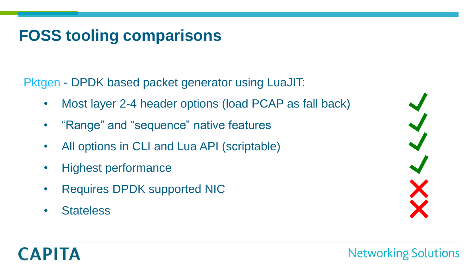[Pktgen](http://pktgen-dpdk.readthedocs.io/en/latest/) - DPDK based packet generator using LuaJIT:

- Most layer 2-4 header options (load PCAP as fall back)
- "Range" and "sequence" native features
- All options in CLI and Lua API (scriptable)
- Highest performance
- Requires DPDK supported NIC
- Stateless



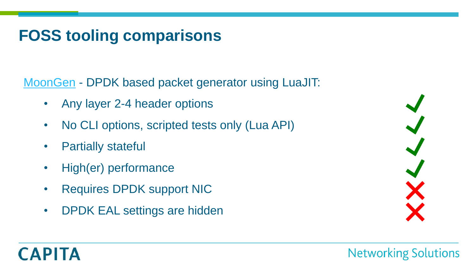[MoonGen](https://github.com/emmericp/MoonGen) - DPDK based packet generator using LuaJIT:

- Any layer 2-4 header options
- No CLI options, scripted tests only (Lua API)
- **Partially stateful**
- High(er) performance
- Requires DPDK support NIC
- DPDK EAL settings are hidden



# **CAPITA**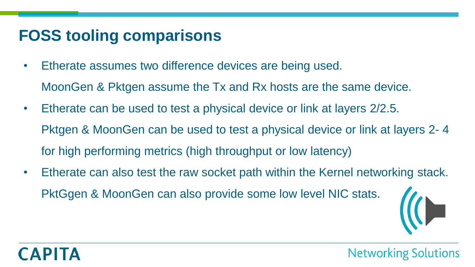- Etherate assumes two difference devices are being used.
	- MoonGen & Pktgen assume the Tx and Rx hosts are the same device.
- Etherate can be used to test a physical device or link at layers 2/2.5. Pktgen & MoonGen can be used to test a physical device or link at layers 2- 4 for high performing metrics (high throughput or low latency)
- Etherate can also test the raw socket path within the Kernel networking stack. PktGgen & MoonGen can also provide some low level NIC stats.



**Networking Solutions**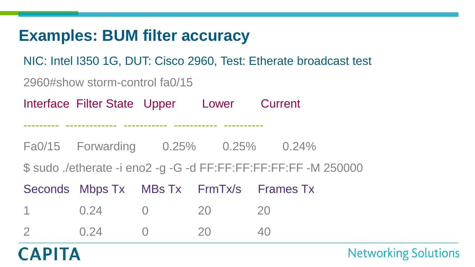#### **Examples: BUM filter accuracy**

NIC: Intel I350 1G, DUT: Cisco 2960, Test: Etherate broadcast test

2960#show storm-control fa0/15

Interface Filter State Upper Lower Current

--------- ------------- ----------- ----------- ----------

Fa0/15 Forwarding 0.25% 0.25% 0.24%

\$ sudo ./etherate -i eno2 -g -G -d FF:FF:FF:FF:FF:FF -M 250000

|                |    | Seconds Mbps Tx MBs Tx FrmTx/s Frames Tx |
|----------------|----|------------------------------------------|
| 1 0.24 0 20 20 |    |                                          |
| $0.24$ 0       | 20 | 40                                       |

# **CAPITA**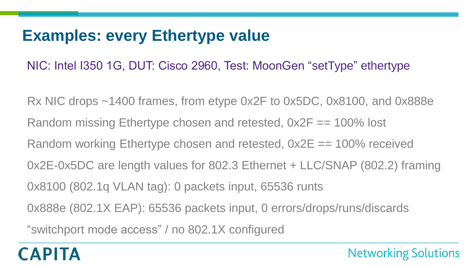#### **Examples: every Ethertype value**

NIC: Intel I350 1G, DUT: Cisco 2960, Test: MoonGen "setType" ethertype

Rx NIC drops ~1400 frames, from etype 0x2F to 0x5DC, 0x8100, and 0x888e Random missing Ethertype chosen and retested,  $0x2F == 100\%$  lost Random working Ethertype chosen and retested,  $0x2E == 100\%$  received 0x2E-0x5DC are length values for 802.3 Ethernet + LLC/SNAP (802.2) framing 0x8100 (802.1q VLAN tag): 0 packets input, 65536 runts 0x888e (802.1X EAP): 65536 packets input, 0 errors/drops/runs/discards "switchport mode access" / no 802.1X configured

**Networking Solutions**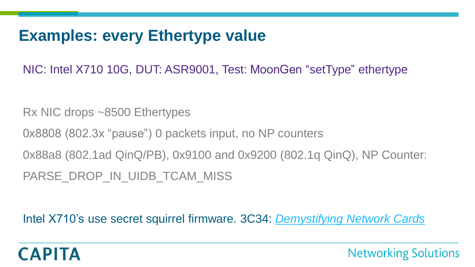#### **Examples: every Ethertype value**

NIC: Intel X710 10G, DUT: ASR9001, Test: MoonGen "setType" ethertype

Rx NIC drops ~8500 Ethertypes

0x8808 (802.3x "pause") 0 packets input, no NP counters

0x88a8 (802.1ad QinQ/PB), 0x9100 and 0x9200 (802.1q QinQ), NP Counter:

PARSE DROP IN UIDB TCAM MISS

Intel X710's use secret squirrel firmware. 3C34: *[Demystifying Network Cards](https://events.ccc.de/congress/2017/Fahrplan/events/9159.html)*

**Networking Solutions**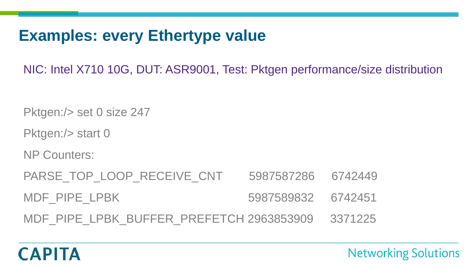## **Examples: every Ethertype value**

NIC: Intel X710 10G, DUT: ASR9001, Test: Pktgen performance/size distribution

Pktgen:/> set 0 size 247

Pktgen:/> start 0

NP Counters:

**CAPITA** 

PARSE\_TOP\_LOOP\_RECEIVE\_CNT 5987587286 6742449 MDF\_PIPE\_LPBK 5987589832 6742451

MDF\_PIPE\_LPBK\_BUFFER\_PREFETCH 2963853909 3371225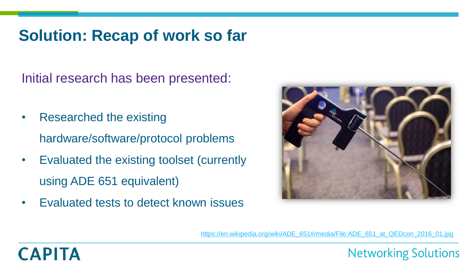#### **Solution: Recap of work so far**

Initial research has been presented:

- Researched the existing hardware/software/protocol problems
- Evaluated the existing toolset (currently using ADE 651 equivalent)
- Evaluated tests to detect known issues



**Networking Solutions** 

[https://en.wikipedia.org/wiki/ADE\\_651#/media/File:ADE\\_651\\_at\\_QEDcon\\_2016\\_01.jpg](https://en.wikipedia.org/wiki/ADE_651#/media/File:ADE_651_at_QEDcon_2016_01.jpg)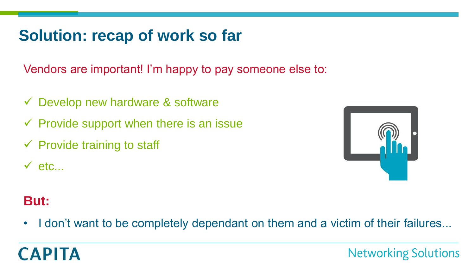#### **Solution: recap of work so far**

Vendors are important! I'm happy to pay someone else to:

- $\checkmark$  Develop new hardware & software
- $\checkmark$  Provide support when there is an issue
- $\checkmark$  Provide training to staff
- $\checkmark$  etc...



#### **But:**

• I don't want to be completely dependant on them and a victim of their failures...

# **CAPITA**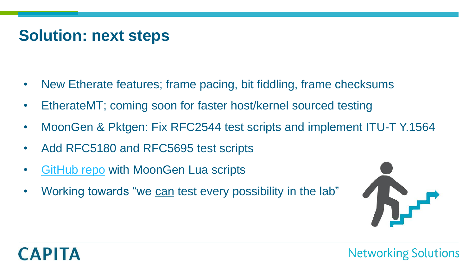#### **Solution: next steps**

- New Etherate features; frame pacing, bit fiddling, frame checksums
- EtherateMT; coming soon for faster host/kernel sourced testing
- MoonGen & Pktgen: Fix RFC2544 test scripts and implement ITU-T Y.1564
- Add RFC5180 and RFC5695 test scripts
- [GitHub repo](https://github.com/jwbensley/MoonGen-Scripts) with MoonGen Lua scripts
- Working towards "we can test every possibility in the lab"

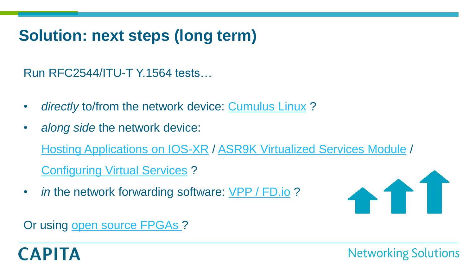## **Solution: next steps (long term)**

Run RFC2544/ITU-T Y.1564 tests…

- *directly* to/from the network device: [Cumulus Linux](https://cumulusnetworks.com/) ?
- *along side* the network device: [Hosting Applications on IOS-XR](https://www.cisco.com/c/en/us/td/docs/iosxr/asr9000/app-hosting/b-application-hosting-configuration-guide-asr9000/b-application-hosting-configuration-guide-asr9000_chapter_011.html) / [ASR9K Virtualized Services Module](https://www.cisco.com/c/en/us/products/collateral/routers/asr-9000-series-aggregation-services-routers/datasheet-c78-730521.html) / [Configuring Virtual Services](https://www.cisco.com/c/en/us/td/docs/routers/asr9000/software/asr9k_r6-0/interfaces/configuration/guide/b-interfaces-cg60x-asr9k/b-interfaces-cg60x-asr9k_chapter_010101.pdf) ?
- *in* the network forwarding software: [VPP / FD.io](https://wiki.fd.io/view/VPP) ?



Or using [open source FPGAs ?](http://netfpga.org/site/)